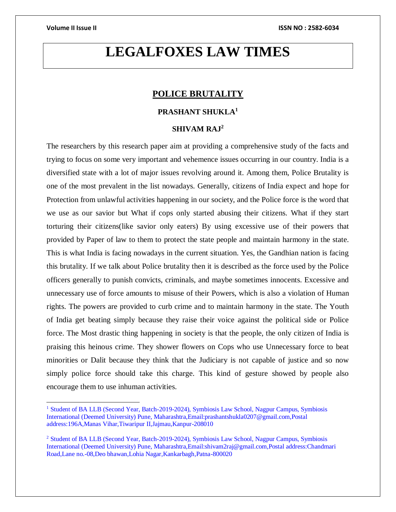$\overline{a}$ 

# **LEGALFOXES LAW TIMES**

# **POLICE BRUTALITY**

# **PRASHANT SHUKLA<sup>1</sup>**

## **SHIVAM RAJ<sup>2</sup>**

The researchers by this research paper aim at providing a comprehensive study of the facts and trying to focus on some very important and vehemence issues occurring in our country. India is a diversified state with a lot of major issues revolving around it. Among them, Police Brutality is one of the most prevalent in the list nowadays. Generally, citizens of India expect and hope for Protection from unlawful activities happening in our society, and the Police force is the word that we use as our savior but What if cops only started abusing their citizens. What if they start torturing their citizens(like savior only eaters) By using excessive use of their powers that provided by Paper of law to them to protect the state people and maintain harmony in the state. This is what India is facing nowadays in the current situation. Yes, the Gandhian nation is facing this brutality. If we talk about Police brutality then it is described as the force used by the Police officers generally to punish convicts, criminals, and maybe sometimes innocents. Excessive and unnecessary use of force amounts to misuse of their Powers, which is also a violation of Human rights. The powers are provided to curb crime and to maintain harmony in the state. The Youth of India get beating simply because they raise their voice against the political side or Police force. The Most drastic thing happening in society is that the people, the only citizen of India is praising this heinous crime. They shower flowers on Cops who use Unnecessary force to beat minorities or Dalit because they think that the Judiciary is not capable of justice and so now simply police force should take this charge. This kind of gesture showed by people also encourage them to use inhuman activities.

<sup>&</sup>lt;sup>1</sup> Student of BA LLB (Second Year, Batch-2019-2024), Symbiosis Law School, Nagpur Campus, Symbiosis International (Deemed University) Pune, Maharashtra,Email:prashantshukla0207@gmail.com,Postal address:196A,Manas Vihar,Tiwaripur II,Jajmau,Kanpur-208010

<sup>&</sup>lt;sup>2</sup> Student of BA LLB (Second Year, Batch-2019-2024), Symbiosis Law School, Nagpur Campus, Symbiosis International (Deemed University) Pune, Maharashtra,Email:shivam2raj@gmail.com,Postal address:Chandmari Road,Lane no.-08,Deo bhawan,Lohia Nagar,Kankarbagh,Patna-800020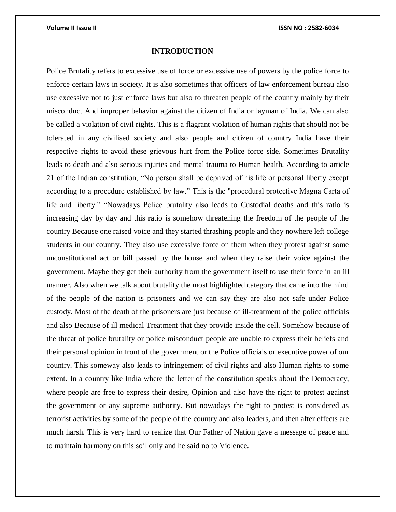### **INTRODUCTION**

Police Brutality refers to excessive use of force or excessive use of powers by the police force to enforce certain laws in society. It is also sometimes that officers of law enforcement bureau also use excessive not to just enforce laws but also to threaten people of the country mainly by their misconduct And improper behavior against the citizen of India or layman of India. We can also be called a violation of civil rights. This is a flagrant violation of human rights that should not be tolerated in any civilised society and also people and citizen of country India have their respective rights to avoid these grievous hurt from the Police force side. Sometimes Brutality leads to death and also serious injuries and mental trauma to Human health. According to article 21 of the Indian constitution, "No person shall be deprived of his life or personal liberty except according to a procedure established by law." This is the "procedural protective Magna Carta of life and liberty." "Nowadays Police brutality also leads to Custodial deaths and this ratio is increasing day by day and this ratio is somehow threatening the freedom of the people of the country Because one raised voice and they started thrashing people and they nowhere left college students in our country. They also use excessive force on them when they protest against some unconstitutional act or bill passed by the house and when they raise their voice against the government. Maybe they get their authority from the government itself to use their force in an ill manner. Also when we talk about brutality the most highlighted category that came into the mind of the people of the nation is prisoners and we can say they are also not safe under Police custody. Most of the death of the prisoners are just because of ill-treatment of the police officials and also Because of ill medical Treatment that they provide inside the cell. Somehow because of the threat of police brutality or police misconduct people are unable to express their beliefs and their personal opinion in front of the government or the Police officials or executive power of our country. This someway also leads to infringement of civil rights and also Human rights to some extent. In a country like India where the letter of the constitution speaks about the Democracy, where people are free to express their desire, Opinion and also have the right to protest against the government or any supreme authority. But nowadays the right to protest is considered as terrorist activities by some of the people of the country and also leaders, and then after effects are much harsh. This is very hard to realize that Our Father of Nation gave a message of peace and to maintain harmony on this soil only and he said no to Violence.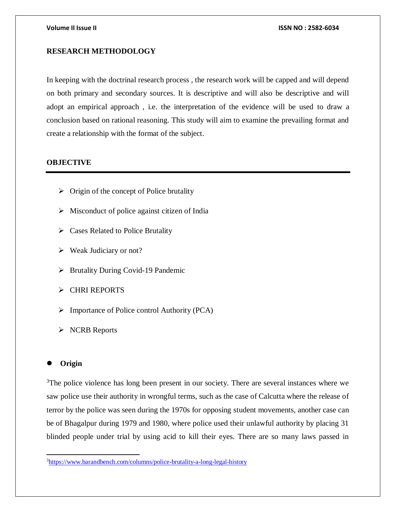# **RESEARCH METHODOLOGY**

In keeping with the doctrinal research process , the research work will be capped and will depend on both primary and secondary sources. It is descriptive and will also be descriptive and will adopt an empirical approach , i.e. the interpretation of the evidence will be used to draw a conclusion based on rational reasoning. This study will aim to examine the prevailing format and create a relationship with the format of the subject.

## **OBJECTIVE**

- $\triangleright$  Origin of the concept of Police brutality
- $\triangleright$  Misconduct of police against citizen of India
- $\triangleright$  Cases Related to Police Brutality
- $\triangleright$  Weak Judiciary or not?
- $\triangleright$  Brutality During Covid-19 Pandemic
- CHRI REPORTS
- $\triangleright$  Importance of Police control Authority (PCA)
- > NCRB Reports

# **Origin**

 $\overline{a}$ 

<sup>3</sup>The police violence has long been present in our society. There are several instances where we saw police use their authority in wrongful terms, such as the case of Calcutta where the release of terror by the police was seen during the 1970s for opposing student movements, another case can be of Bhagalpur during 1979 and 1980, where police used their unlawful authority by placing 31 blinded people under trial by using acid to kill their eyes. There are so many laws passed in

<sup>3</sup><https://www.barandbench.com/columns/police-brutality-a-long-legal-history>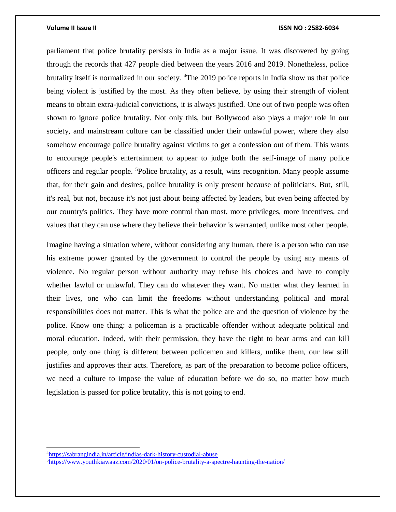parliament that police brutality persists in India as a major issue. It was discovered by going through the records that 427 people died between the years 2016 and 2019. Nonetheless, police brutality itself is normalized in our society. <sup>4</sup>The 2019 police reports in India show us that police being violent is justified by the most. As they often believe, by using their strength of violent means to obtain extra-judicial convictions, it is always justified. One out of two people was often shown to ignore police brutality. Not only this, but Bollywood also plays a major role in our society, and mainstream culture can be classified under their unlawful power, where they also somehow encourage police brutality against victims to get a confession out of them. This wants to encourage people's entertainment to appear to judge both the self-image of many police officers and regular people. <sup>5</sup>Police brutality, as a result, wins recognition. Many people assume that, for their gain and desires, police brutality is only present because of politicians. But, still, it's real, but not, because it's not just about being affected by leaders, but even being affected by our country's politics. They have more control than most, more privileges, more incentives, and values that they can use where they believe their behavior is warranted, unlike most other people.

Imagine having a situation where, without considering any human, there is a person who can use his extreme power granted by the government to control the people by using any means of violence. No regular person without authority may refuse his choices and have to comply whether lawful or unlawful. They can do whatever they want. No matter what they learned in their lives, one who can limit the freedoms without understanding political and moral responsibilities does not matter. This is what the police are and the question of violence by the police. Know one thing: a policeman is a practicable offender without adequate political and moral education. Indeed, with their permission, they have the right to bear arms and can kill people, only one thing is different between policemen and killers, unlike them, our law still justifies and approves their acts. Therefore, as part of the preparation to become police officers, we need a culture to impose the value of education before we do so, no matter how much legislation is passed for police brutality, this is not going to end.

<sup>4</sup><https://sabrangindia.in/article/indias-dark-history-custodial-abuse>

<sup>5</sup><https://www.youthkiawaaz.com/2020/01/on-police-brutality-a-spectre-haunting-the-nation/>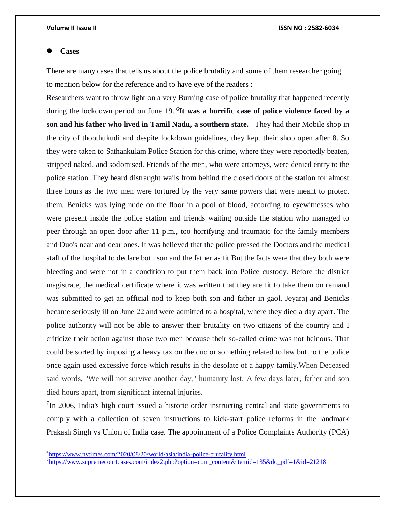### **Cases**

 $\overline{\phantom{a}}$ 

There are many cases that tells us about the police brutality and some of them researcher going to mention below for the reference and to have eye of the readers :

Researchers want to throw light on a very Burning case of police brutality that happened recently during the lockdown period on June 19. <sup>6</sup> **It was a horrific case of police violence faced by a son and his father who lived in Tamil Nadu, a southern state.** They had their Mobile shop in the city of thoothukudi and despite lockdown guidelines, they kept their shop open after 8. So they were taken to Sathankulam Police Station for this crime, where they were reportedly beaten, stripped naked, and sodomised. Friends of the men, who were attorneys, were denied entry to the police station. They heard distraught wails from behind the closed doors of the station for almost three hours as the two men were tortured by the very same powers that were meant to protect them. Benicks was lying nude on the floor in a pool of blood, according to eyewitnesses who were present inside the police station and friends waiting outside the station who managed to peer through an open door after 11 p.m., too horrifying and traumatic for the family members and Duo's near and dear ones. It was believed that the police pressed the Doctors and the medical staff of the hospital to declare both son and the father as fit But the facts were that they both were bleeding and were not in a condition to put them back into Police custody. Before the district magistrate, the medical certificate where it was written that they are fit to take them on remand was submitted to get an official nod to keep both son and father in gaol. Jeyaraj and Benicks became seriously ill on June 22 and were admitted to a hospital, where they died a day apart. The police authority will not be able to answer their brutality on two citizens of the country and I criticize their action against those two men because their so-called crime was not heinous. That could be sorted by imposing a heavy tax on the duo or something related to law but no the police once again used excessive force which results in the desolate of a happy family.When Deceased said words, "We will not survive another day," humanity lost. A few days later, father and son died hours apart, from significant internal injuries.

<sup>7</sup>In 2006, India's high court issued a historic order instructing central and state governments to comply with a collection of seven instructions to kick-start police reforms in the landmark Prakash Singh vs Union of India case. The appointment of a Police Complaints Authority (PCA)

<sup>6</sup><https://www.nytimes.com/2020/08/20/world/asia/india-police-brutality.html>

<sup>7</sup>[https://www.supremecourtcases.com/index2.php?option=com\\_content&itemid=135&do\\_pdf=1&id=21218](https://www.supremecourtcases.com/index2.php?option=com_content&itemid=135&do_pdf=1&id=21218)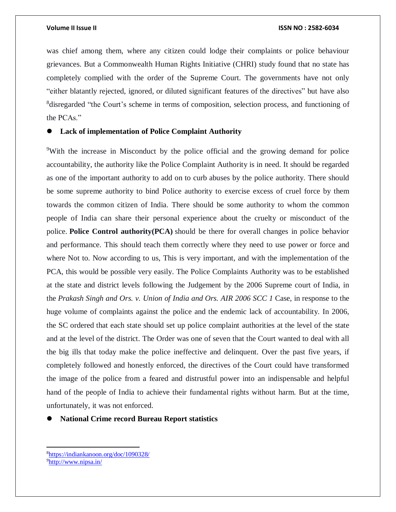was chief among them, where any citizen could lodge their complaints or police behaviour grievances. But a Commonwealth Human Rights Initiative (CHRI) study found that no state has completely complied with the order of the Supreme Court. The governments have not only "either blatantly rejected, ignored, or diluted significant features of the directives" but have also <sup>8</sup>disregarded "the Court's scheme in terms of composition, selection process, and functioning of the PCAs."

# **Lack of implementation of Police Complaint Authority**

<sup>9</sup>With the increase in Misconduct by the police official and the growing demand for police accountability, the authority like the Police Complaint Authority is in need. It should be regarded as one of the important authority to add on to curb abuses by the police authority. There should be some supreme authority to bind Police authority to exercise excess of cruel force by them towards the common citizen of India. There should be some authority to whom the common people of India can share their personal experience about the cruelty or misconduct of the police. **Police Control authority(PCA)** should be there for overall changes in police behavior and performance. This should teach them correctly where they need to use power or force and where Not to. Now according to us, This is very important, and with the implementation of the PCA, this would be possible very easily. The Police Complaints Authority was to be established at the state and district levels following the Judgement by the 2006 Supreme court of India, in the *Prakash Singh and Ors. v. Union of India and Ors. AIR 2006 SCC 1* Case, in response to the huge volume of complaints against the police and the endemic lack of accountability. In 2006, the SC ordered that each state should set up police complaint authorities at the level of the state and at the level of the district. The Order was one of seven that the Court wanted to deal with all the big ills that today make the police ineffective and delinquent. Over the past five years, if completely followed and honestly enforced, the directives of the Court could have transformed the image of the police from a feared and distrustful power into an indispensable and helpful hand of the people of India to achieve their fundamental rights without harm. But at the time, unfortunately, it was not enforced.

## **National Crime record Bureau Report statistics**

<sup>8</sup><https://indiankanoon.org/doc/1090328/> 9<http://www.nipsa.in/>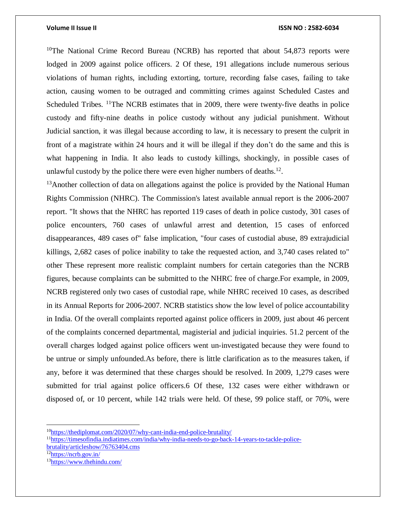<sup>10</sup>The National Crime Record Bureau (NCRB) has reported that about  $54,873$  reports were lodged in 2009 against police officers. 2 Of these, 191 allegations include numerous serious violations of human rights, including extorting, torture, recording false cases, failing to take action, causing women to be outraged and committing crimes against Scheduled Castes and Scheduled Tribes. <sup>11</sup>The NCRB estimates that in 2009, there were twenty-five deaths in police custody and fifty-nine deaths in police custody without any judicial punishment. Without Judicial sanction, it was illegal because according to law, it is necessary to present the culprit in front of a magistrate within 24 hours and it will be illegal if they don't do the same and this is what happening in India. It also leads to custody killings, shockingly, in possible cases of unlawful custody by the police there were even higher numbers of deaths. $^{12}$ .

 $13$ Another collection of data on allegations against the police is provided by the National Human Rights Commission (NHRC). The Commission's latest available annual report is the 2006-2007 report. "It shows that the NHRC has reported 119 cases of death in police custody, 301 cases of police encounters, 760 cases of unlawful arrest and detention, 15 cases of enforced disappearances, 489 cases of" false implication, "four cases of custodial abuse, 89 extrajudicial killings, 2,682 cases of police inability to take the requested action, and 3,740 cases related to" other These represent more realistic complaint numbers for certain categories than the NCRB figures, because complaints can be submitted to the NHRC free of charge.For example, in 2009, NCRB registered only two cases of custodial rape, while NHRC received 10 cases, as described in its Annual Reports for 2006-2007. NCRB statistics show the low level of police accountability in India. Of the overall complaints reported against police officers in 2009, just about 46 percent of the complaints concerned departmental, magisterial and judicial inquiries. 51.2 percent of the overall charges lodged against police officers went un-investigated because they were found to be untrue or simply unfounded.As before, there is little clarification as to the measures taken, if any, before it was determined that these charges should be resolved. In 2009, 1,279 cases were submitted for trial against police officers.6 Of these, 132 cases were either withdrawn or disposed of, or 10 percent, while 142 trials were held. Of these, 99 police staff, or 70%, were

<sup>12</sup><https://ncrb.gov.in/>

<sup>10</sup><https://thediplomat.com/2020/07/why-cant-india-end-police-brutality/>

<sup>11</sup>[https://timesofindia.indiatimes.com/india/why-india-needs-to-go-back-14-years-to-tackle-police-](https://timesofindia.indiatimes.com/india/why-india-needs-to-go-back-14-years-to-tackle-police-brutality/articleshow/76763404.cms)

[brutality/articleshow/76763404.cms](https://timesofindia.indiatimes.com/india/why-india-needs-to-go-back-14-years-to-tackle-police-brutality/articleshow/76763404.cms)

<sup>13</sup><https://www.thehindu.com/>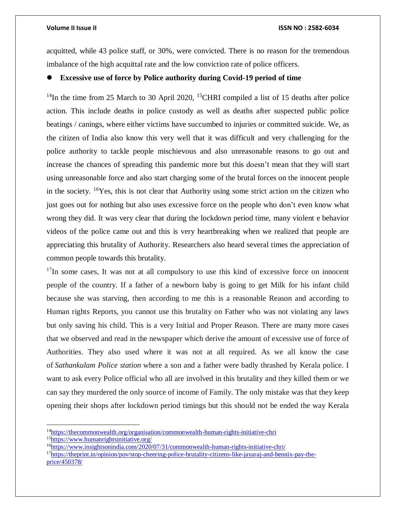$\overline{\phantom{a}}$ 

acquitted, while 43 police staff, or 30%, were convicted. There is no reason for the tremendous imbalance of the high acquittal rate and the low conviction rate of police officers.

# **Excessive use of force by Police authority during Covid-19 period of time**

<sup>14</sup>In the time from 25 March to 30 April 2020, <sup>15</sup>CHRI compiled a list of 15 deaths after police action. This include deaths in police custody as well as deaths after suspected public police beatings / canings, where either victims have succumbed to injuries or committed suicide. We, as the citizen of India also know this very well that it was difficult and very challenging for the police authority to tackle people mischievous and also unreasonable reasons to go out and increase the chances of spreading this pandemic more but this doesn't mean that they will start using unreasonable force and also start charging some of the brutal forces on the innocent people in the society.  ${}^{16}Y$ es, this is not clear that Authority using some strict action on the citizen who just goes out for nothing but also uses excessive force on the people who don't even know what wrong they did. It was very clear that during the lockdown period time, many violent e behavior videos of the police came out and this is very heartbreaking when we realized that people are appreciating this brutality of Authority. Researchers also heard several times the appreciation of common people towards this brutality.

 $17$ In some cases, It was not at all compulsory to use this kind of excessive force on innocent people of the country. If a father of a newborn baby is going to get Milk for his infant child because she was starving, then according to me this is a reasonable Reason and according to Human rights Reports, you cannot use this brutality on Father who was not violating any laws but only saving his child. This is a very Initial and Proper Reason. There are many more cases that we observed and read in the newspaper which derive the amount of excessive use of force of Authorities. They also used where it was not at all required. As we all know the case of *Sathankulam Police station* where a son and a father were badly thrashed by Kerala police. I want to ask every Police official who all are involved in this brutality and they killed them or we can say they murdered the only source of income of Family. The only mistake was that they keep opening their shops after lockdown period timings but this should not be ended the way Kerala

17[https://theprint.in/opinion/pov/stop-cheering-police-brutality-citizens-like-jayaraj-and-bennix-pay-the](https://theprint.in/opinion/pov/stop-cheering-police-brutality-citizens-like-jayaraj-and-bennix-pay-the-price/450378/)[price/450378/](https://theprint.in/opinion/pov/stop-cheering-police-brutality-citizens-like-jayaraj-and-bennix-pay-the-price/450378/)

<sup>14</sup><https://thecommonwealth.org/organisation/commonwealth-human-rights-initiative-chri> <sup>15</sup><https://www.humanrightsinitiative.org/>

<sup>16</sup><https://www.insightsonindia.com/2020/07/31/commonwealth-human-rights-initiative-chri/>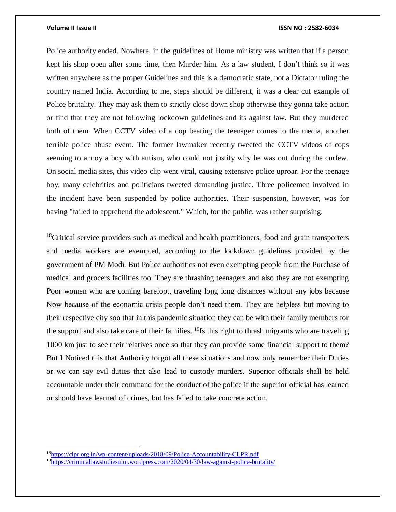Police authority ended. Nowhere, in the guidelines of Home ministry was written that if a person kept his shop open after some time, then Murder him. As a law student, I don't think so it was written anywhere as the proper Guidelines and this is a democratic state, not a Dictator ruling the country named India. According to me, steps should be different, it was a clear cut example of Police brutality. They may ask them to strictly close down shop otherwise they gonna take action or find that they are not following lockdown guidelines and its against law. But they murdered both of them. When CCTV video of a cop beating the teenager comes to the media, another terrible police abuse event. The former lawmaker recently tweeted the CCTV videos of cops seeming to annoy a boy with autism, who could not justify why he was out during the curfew. On social media sites, this video clip went viral, causing extensive police uproar. For the teenage boy, many celebrities and politicians tweeted demanding justice. Three policemen involved in the incident have been suspended by police authorities. Their suspension, however, was for having "failed to apprehend the adolescent." Which, for the public, was rather surprising.

 $18$ Critical service providers such as medical and health practitioners, food and grain transporters and media workers are exempted, according to the lockdown guidelines provided by the government of PM Modi. But Police authorities not even exempting people from the Purchase of medical and grocers facilities too. They are thrashing teenagers and also they are not exempting Poor women who are coming barefoot, traveling long long distances without any jobs because Now because of the economic crisis people don't need them. They are helpless but moving to their respective city soo that in this pandemic situation they can be with their family members for the support and also take care of their families. <sup>19</sup>Is this right to thrash migrants who are traveling 1000 km just to see their relatives once so that they can provide some financial support to them? But I Noticed this that Authority forgot all these situations and now only remember their Duties or we can say evil duties that also lead to custody murders. Superior officials shall be held accountable under their command for the conduct of the police if the superior official has learned or should have learned of crimes, but has failed to take concrete action.

<sup>18</sup><https://clpr.org.in/wp-content/uploads/2018/09/Police-Accountability-CLPR.pdf>

<sup>19</sup><https://criminallawstudiesnluj.wordpress.com/2020/04/30/law-against-police-brutality/>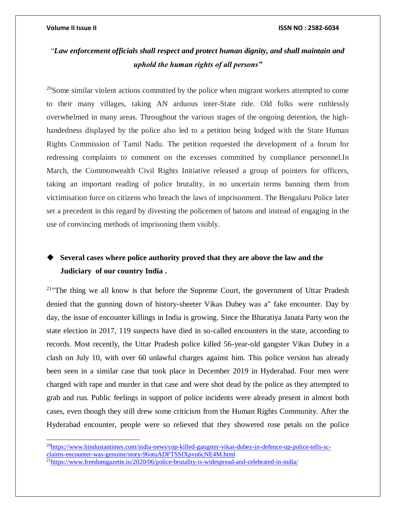$\overline{a}$ 

### **Volume II Issue II ISSN NO : 2582-6034**

# "*Law enforcement officials shall respect and protect human dignity, and shall maintain and uphold the human rights of all persons"*

 $20$ Some similar violent actions committed by the police when migrant workers attempted to come to their many villages, taking AN arduous inter-State ride. Old folks were ruthlessly overwhelmed in many areas. Throughout the various stages of the ongoing detention, the highhandedness displayed by the police also led to a petition being lodged with the State Human Rights Commission of Tamil Nadu. The petition requested the development of a forum for redressing complaints to comment on the excesses committed by compliance personnel.In March, the Commonwealth Civil Rights Initiative released a group of pointers for officers, taking an important reading of police brutality, in no uncertain terms banning them from victimisation force on citizens who breach the laws of imprisonment. The Bengaluru Police later set a precedent in this regard by divesting the policemen of batons and instead of engaging in the use of convincing methods of imprisoning them visibly.

# **Several cases where police authority proved that they are above the law and the Judiciary of our country India .**

<sup>21</sup> The thing we all know is that before the Supreme Court, the government of Uttar Pradesh denied that the gunning down of history-sheeter Vikas Dubey was a" fake encounter. Day by day, the issue of encounter killings in India is growing. Since the Bharatiya Janata Party won the state election in 2017, 119 suspects have died in so-called encounters in the state, according to records. Most recently, the Uttar Pradesh police killed 56-year-old gangster Vikas Dubey in a clash on July 10, with over 60 unlawful charges against him. This police version has already been seen in a similar case that took place in December 2019 in Hyderabad. Four men were charged with rape and murder in that case and were shot dead by the police as they attempted to grab and run. Public feelings in support of police incidents were already present in almost both cases, even though they still drew some criticism from the Human Rights Community. After the Hyderabad encounter, people were so relieved that they showered rose petals on the police

<sup>20</sup>[https://www.hindustantimes.com/india-news/cop-killed-gangster-vikas-dubey-in-defence-up-police-tells-sc](https://www.hindustantimes.com/india-news/cop-killed-gangster-vikas-dubey-in-defence-up-police-tells-sc-claims-encounter-was-genuine/story-96otuADFTSSfXpvu6cNE4M.html)[claims-encounter-was-genuine/story-96otuADFTSSfXpvu6cNE4M.html](https://www.hindustantimes.com/india-news/cop-killed-gangster-vikas-dubey-in-defence-up-police-tells-sc-claims-encounter-was-genuine/story-96otuADFTSSfXpvu6cNE4M.html)

<sup>21</sup><https://www.freedomgazette.in/2020/06/police-brutality-is-widespread-and-celebrated-in-india/>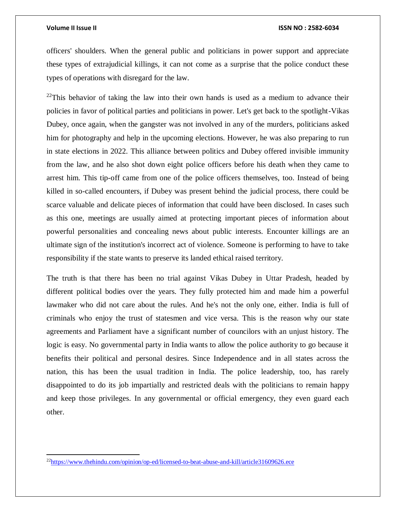$\overline{a}$ 

### **Volume II Issue II ISSN NO : 2582-6034**

officers' shoulders. When the general public and politicians in power support and appreciate these types of extrajudicial killings, it can not come as a surprise that the police conduct these types of operations with disregard for the law.

 $^{22}$ This behavior of taking the law into their own hands is used as a medium to advance their policies in favor of political parties and politicians in power. Let's get back to the spotlight-Vikas Dubey, once again, when the gangster was not involved in any of the murders, politicians asked him for photography and help in the upcoming elections. However, he was also preparing to run in state elections in 2022. This alliance between politics and Dubey offered invisible immunity from the law, and he also shot down eight police officers before his death when they came to arrest him. This tip-off came from one of the police officers themselves, too. Instead of being killed in so-called encounters, if Dubey was present behind the judicial process, there could be scarce valuable and delicate pieces of information that could have been disclosed. In cases such as this one, meetings are usually aimed at protecting important pieces of information about powerful personalities and concealing news about public interests. Encounter killings are an ultimate sign of the institution's incorrect act of violence. Someone is performing to have to take responsibility if the state wants to preserve its landed ethical raised territory.

The truth is that there has been no trial against Vikas Dubey in Uttar Pradesh, headed by different political bodies over the years. They fully protected him and made him a powerful lawmaker who did not care about the rules. And he's not the only one, either. India is full of criminals who enjoy the trust of statesmen and vice versa. This is the reason why our state agreements and Parliament have a significant number of councilors with an unjust history. The logic is easy. No governmental party in India wants to allow the police authority to go because it benefits their political and personal desires. Since Independence and in all states across the nation, this has been the usual tradition in India. The police leadership, too, has rarely disappointed to do its job impartially and restricted deals with the politicians to remain happy and keep those privileges. In any governmental or official emergency, they even guard each other.

<sup>&</sup>lt;sup>22</sup><https://www.thehindu.com/opinion/op-ed/licensed-to-beat-abuse-and-kill/article31609626.ece>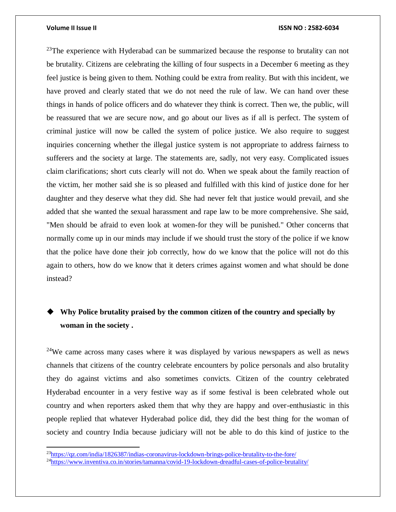$\overline{\phantom{a}}$ 

### **Volume II Issue II ISSN NO : 2582-6034**

 $23$ The experience with Hyderabad can be summarized because the response to brutality can not be brutality. Citizens are celebrating the killing of four suspects in a December 6 meeting as they feel justice is being given to them. Nothing could be extra from reality. But with this incident, we have proved and clearly stated that we do not need the rule of law. We can hand over these things in hands of police officers and do whatever they think is correct. Then we, the public, will be reassured that we are secure now, and go about our lives as if all is perfect. The system of criminal justice will now be called the system of police justice. We also require to suggest inquiries concerning whether the illegal justice system is not appropriate to address fairness to sufferers and the society at large. The statements are, sadly, not very easy. Complicated issues claim clarifications; short cuts clearly will not do. When we speak about the family reaction of the victim, her mother said she is so pleased and fulfilled with this kind of justice done for her daughter and they deserve what they did. She had never felt that justice would prevail, and she added that she wanted the sexual harassment and rape law to be more comprehensive. She said, "Men should be afraid to even look at women-for they will be punished." Other concerns that normally come up in our minds may include if we should trust the story of the police if we know that the police have done their job correctly, how do we know that the police will not do this again to others, how do we know that it deters crimes against women and what should be done instead?

# **Why Police brutality praised by the common citizen of the country and specially by woman in the society .**

<sup>24</sup>We came across many cases where it was displayed by various newspapers as well as news channels that citizens of the country celebrate encounters by police personals and also brutality they do against victims and also sometimes convicts. Citizen of the country celebrated Hyderabad encounter in a very festive way as if some festival is been celebrated whole out country and when reporters asked them that why they are happy and over-enthusiastic in this people replied that whatever Hyderabad police did, they did the best thing for the woman of society and country India because judiciary will not be able to do this kind of justice to the

<sup>&</sup>lt;sup>23</sup><https://qz.com/india/1826387/indias-coronavirus-lockdown-brings-police-brutality-to-the-fore/>

<sup>24</sup><https://www.inventiva.co.in/stories/tamanna/covid-19-lockdown-dreadful-cases-of-police-brutality/>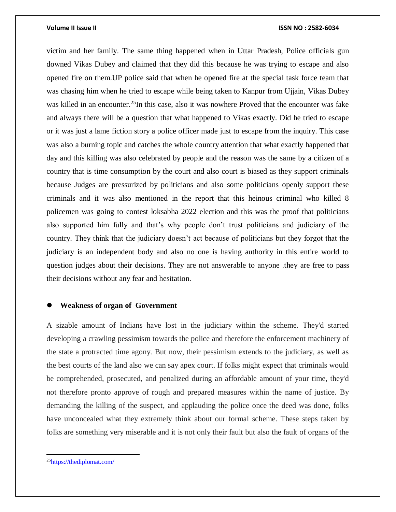victim and her family. The same thing happened when in Uttar Pradesh, Police officials gun downed Vikas Dubey and claimed that they did this because he was trying to escape and also opened fire on them.UP police said that when he opened fire at the special task force team that was chasing him when he tried to escape while being taken to Kanpur from Ujjain, Vikas Dubey was killed in an encounter.<sup>25</sup>In this case, also it was nowhere Proved that the encounter was fake and always there will be a question that what happened to Vikas exactly. Did he tried to escape or it was just a lame fiction story a police officer made just to escape from the inquiry. This case was also a burning topic and catches the whole country attention that what exactly happened that day and this killing was also celebrated by people and the reason was the same by a citizen of a country that is time consumption by the court and also court is biased as they support criminals because Judges are pressurized by politicians and also some politicians openly support these criminals and it was also mentioned in the report that this heinous criminal who killed 8 policemen was going to contest loksabha 2022 election and this was the proof that politicians also supported him fully and that's why people don't trust politicians and judiciary of the country. They think that the judiciary doesn't act because of politicians but they forgot that the judiciary is an independent body and also no one is having authority in this entire world to question judges about their decisions. They are not answerable to anyone .they are free to pass their decisions without any fear and hesitation.

## **Weakness of organ of Government**

A sizable amount of Indians have lost in the judiciary within the scheme. They'd started developing a crawling pessimism towards the police and therefore the enforcement machinery of the state a protracted time agony. But now, their pessimism extends to the judiciary, as well as the best courts of the land also we can say apex court. If folks might expect that criminals would be comprehended, prosecuted, and penalized during an affordable amount of your time, they'd not therefore pronto approve of rough and prepared measures within the name of justice. By demanding the killing of the suspect, and applauding the police once the deed was done, folks have unconcealed what they extremely think about our formal scheme. These steps taken by folks are something very miserable and it is not only their fault but also the fault of organs of the

 $\overline{a}$ 

<sup>25</sup><https://thediplomat.com/>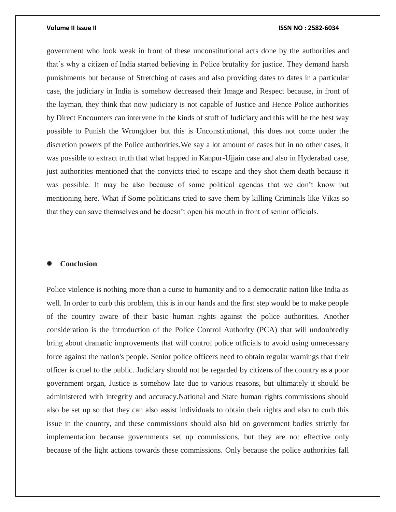government who look weak in front of these unconstitutional acts done by the authorities and that's why a citizen of India started believing in Police brutality for justice. They demand harsh punishments but because of Stretching of cases and also providing dates to dates in a particular case, the judiciary in India is somehow decreased their Image and Respect because, in front of the layman, they think that now judiciary is not capable of Justice and Hence Police authorities by Direct Encounters can intervene in the kinds of stuff of Judiciary and this will be the best way possible to Punish the Wrongdoer but this is Unconstitutional, this does not come under the discretion powers pf the Police authorities.We say a lot amount of cases but in no other cases, it was possible to extract truth that what happed in Kanpur-Ujjain case and also in Hyderabad case, just authorities mentioned that the convicts tried to escape and they shot them death because it was possible. It may be also because of some political agendas that we don't know but mentioning here. What if Some politicians tried to save them by killing Criminals like Vikas so that they can save themselves and he doesn't open his mouth in front of senior officials.

# **Conclusion**

Police violence is nothing more than a curse to humanity and to a democratic nation like India as well. In order to curb this problem, this is in our hands and the first step would be to make people of the country aware of their basic human rights against the police authorities. Another consideration is the introduction of the Police Control Authority (PCA) that will undoubtedly bring about dramatic improvements that will control police officials to avoid using unnecessary force against the nation's people. Senior police officers need to obtain regular warnings that their officer is cruel to the public. Judiciary should not be regarded by citizens of the country as a poor government organ, Justice is somehow late due to various reasons, but ultimately it should be administered with integrity and accuracy.National and State human rights commissions should also be set up so that they can also assist individuals to obtain their rights and also to curb this issue in the country, and these commissions should also bid on government bodies strictly for implementation because governments set up commissions, but they are not effective only because of the light actions towards these commissions. Only because the police authorities fall